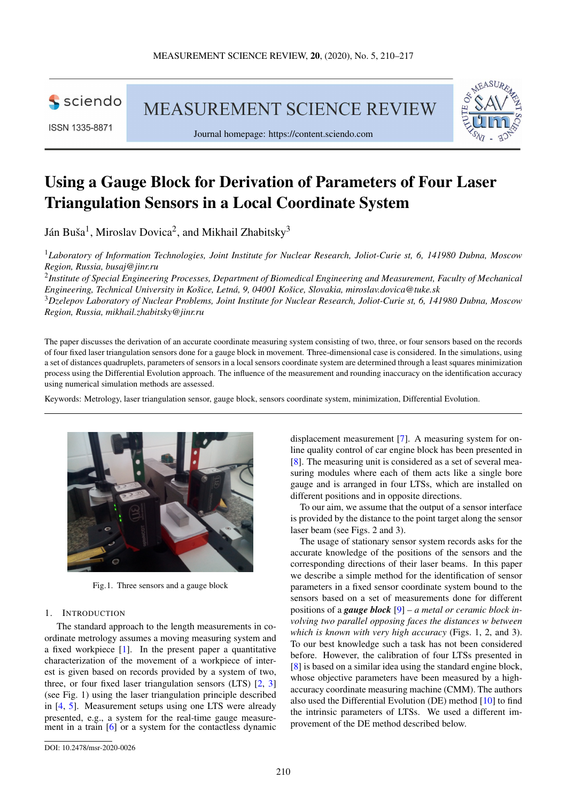

ISSN 1335-8871

MEASUREMENT SCIENCE REVIEW



Journal homepage: [https://content.sciendo.com](https://content.sciendo.com/view/journals/msr/msr-overview.xml)

# Using a Gauge Block for Derivation of Parameters of Four Laser Triangulation Sensors in a Local Coordinate System

Ján Buša $^1$ , Miroslav Dovica $^2$ , and Mikhail Zhabitsky $^3$ 

<sup>1</sup>*Laboratory of Information Technologies, Joint Institute for Nuclear Research, Joliot-Curie st, 6, 141980 Dubna, Moscow Region, Russia, [busaj@jinr.ru](mailto:busaj@jinr.ru)*

2 *Institute of Special Engineering Processes, Department of Biomedical Engineering and Measurement, Faculty of Mechanical Engineering, Technical University in Košice, Letná, 9, 04001 Košice, Slovakia, [miroslav.dovica@tuke.sk](mailto:miroslav.dovica@tuke.sk)* <sup>3</sup>*Dzelepov Laboratory of Nuclear Problems, Joint Institute for Nuclear Research, Joliot-Curie st, 6, 141980 Dubna, Moscow Region, Russia, [mikhail.zhabitsky@jinr.ru](mailto:mikhail.zhabitsky@jinr.ru)*

The paper discusses the derivation of an accurate coordinate measuring system consisting of two, three, or four sensors based on the records of four fixed laser triangulation sensors done for a gauge block in movement. Three-dimensional case is considered. In the simulations, using a set of distances quadruplets, parameters of sensors in a local sensors coordinate system are determined through a least squares minimization process using the Differential Evolution approach. The influence of the measurement and rounding inaccuracy on the identification accuracy using numerical simulation methods are assessed.

Keywords: Metrology, laser triangulation sensor, gauge block, sensors coordinate system, minimization, Differential Evolution.

<span id="page-0-0"></span>

Fig.1. Three sensors and a gauge block

# 1. INTRODUCTION

The standard approach to the length measurements in coordinate metrology assumes a moving measuring system and a fixed workpiece [\[1\]](#page-6-0). In the present paper a quantitative characterization of the movement of a workpiece of interest is given based on records provided by a system of two, three, or four fixed laser triangulation sensors (LTS) [\[2,](#page-6-1) [3\]](#page-6-2) (see Fig. [1\)](#page-0-0) using the laser triangulation principle described in [\[4,](#page-6-3) [5\]](#page-7-0). Measurement setups using one LTS were already presented, e.g., a system for the real-time gauge measure-ment in a train [\[6\]](#page-7-1) or a system for the contactless dynamic

displacement measurement [\[7\]](#page-7-2). A measuring system for online quality control of car engine block has been presented in [\[8\]](#page-7-3). The measuring unit is considered as a set of several measuring modules where each of them acts like a single bore gauge and is arranged in four LTSs, which are installed on different positions and in opposite directions.

To our aim, we assume that the output of a sensor interface is provided by the distance to the point target along the sensor laser beam (see Figs. [2](#page-1-0) and [3\)](#page-1-0).

The usage of stationary sensor system records asks for the accurate knowledge of the positions of the sensors and the corresponding directions of their laser beams. In this paper we describe a simple method for the identification of sensor parameters in a fixed sensor coordinate system bound to the sensors based on a set of measurements done for different positions of a *gauge block* [\[9\]](#page-7-4) – *a metal or ceramic block involving two parallel opposing faces the distances w between which is known with very high accuracy* (Figs. [1,](#page-0-0) [2,](#page-1-0) and [3\)](#page-1-0). To our best knowledge such a task has not been considered before. However, the calibration of four LTSs presented in [\[8\]](#page-7-3) is based on a similar idea using the standard engine block, whose objective parameters have been measured by a highaccuracy coordinate measuring machine (CMM). The authors also used the Differential Evolution (DE) method [\[10\]](#page-7-5) to find the intrinsic parameters of LTSs. We used a different improvement of the DE method described below.

[DOI: 10.2478/msr-2020-0026](http://dx.doi.org/10.2478/msr-2020-0026)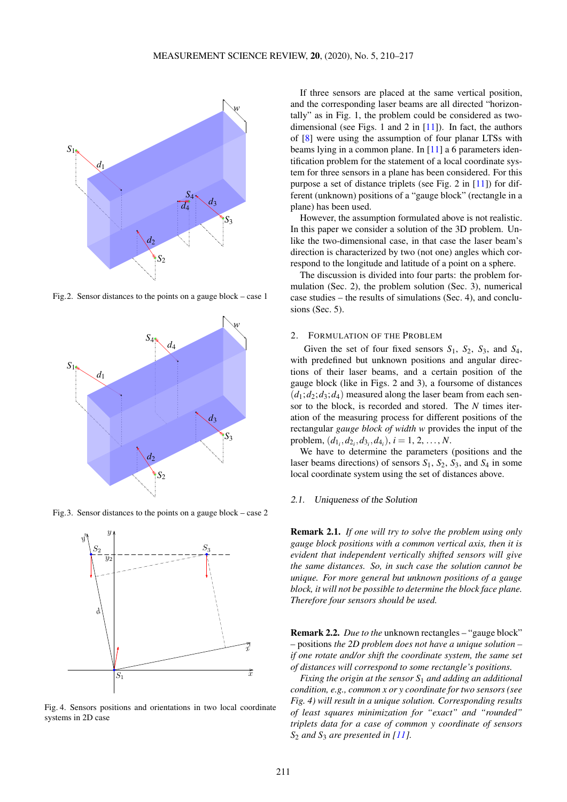<span id="page-1-0"></span>

Fig.2. Sensor distances to the points on a gauge block – case 1



Fig.3. Sensor distances to the points on a gauge block – case 2



Fig. 4. Sensors positions and orientations in two local coordinate systems in 2D case

If three sensors are placed at the same vertical position, and the corresponding laser beams are all directed "horizontally" as in Fig. [1,](#page-0-0) the problem could be considered as twodimensional (see Figs. 1 and 2 in  $[11]$ ). In fact, the authors of [\[8\]](#page-7-3) were using the assumption of four planar LTSs with beams lying in a common plane. In [\[11\]](#page-7-6) a 6 parameters identification problem for the statement of a local coordinate system for three sensors in a plane has been considered. For this purpose a set of distance triplets (see Fig. 2 in [\[11\]](#page-7-6)) for different (unknown) positions of a "gauge block" (rectangle in a plane) has been used.

However, the assumption formulated above is not realistic. In this paper we consider a solution of the 3D problem. Unlike the two-dimensional case, in that case the laser beam's direction is characterized by two (not one) angles which correspond to the longitude and latitude of a point on a sphere.

The discussion is divided into four parts: the problem formulation (Sec. 2), the problem solution (Sec. 3), numerical case studies – the results of simulations (Sec. 4), and conclusions (Sec. 5).

#### <span id="page-1-1"></span>2. FORMULATION OF THE PROBLEM

Given the set of four fixed sensors *S*1, *S*2, *S*3, and *S*4, with predefined but unknown positions and angular directions of their laser beams, and a certain position of the gauge block (like in Figs. [2](#page-1-0) and [3\)](#page-1-0), a foursome of distances  $(d_1; d_2; d_3; d_4)$  measured along the laser beam from each sensor to the block, is recorded and stored. The *N* times iteration of the measuring process for different positions of the rectangular *gauge block of width w* provides the input of the problem,  $(d_{1_i}, d_{2_i}, d_{3_i}, d_{4_i}), i = 1, 2, ..., N$ .

We have to determine the parameters (positions and the laser beams directions) of sensors *S*1, *S*2, *S*3, and *S*<sup>4</sup> in some local coordinate system using the set of distances above.

## 2.1. Uniqueness of the Solution

Remark 2.1. *If one will try to solve the problem using only gauge block positions with a common vertical axis, then it is evident that independent vertically shifted sensors will give the same distances. So, in such case the solution cannot be unique. For more general but unknown positions of a gauge block, it will not be possible to determine the block face plane. Therefore four sensors should be used.*

Remark 2.2. *Due to the* unknown rectangles – "gauge block" – positions *the 2D problem does not have a unique solution – if one rotate and/or shift the coordinate system, the same set of distances will correspond to some rectangle's positions.*

*Fixing the origin at the sensor S*<sup>1</sup> *and adding an additional condition, e.g., common x or y coordinate for two sensors (see Fig. [4\)](#page-1-0) will result in a unique solution. Corresponding results of least squares minimization for "exact" and "rounded" triplets data for a case of common y coordinate of sensors S*<sup>2</sup> *and S*<sup>3</sup> *are presented in [\[11\]](#page-7-6).*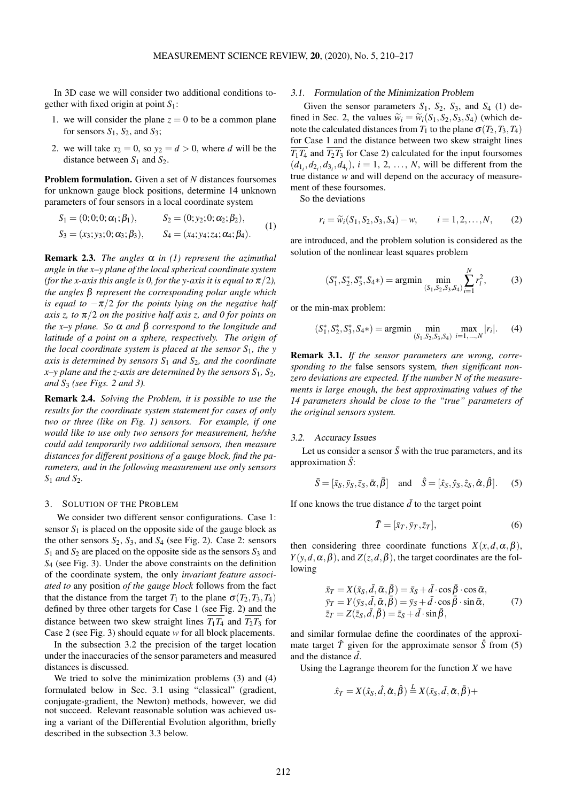In 3D case we will consider two additional conditions together with fixed origin at point *S*1:

- 1. we will consider the plane  $z = 0$  to be a common plane for sensors  $S_1$ ,  $S_2$ , and  $S_3$ ;
- 2. we will take  $x_2 = 0$ , so  $y_2 = d > 0$ , where *d* will be the distance between  $S_1$  and  $S_2$ .

Problem formulation. Given a set of *N* distances foursomes for unknown gauge block positions, determine 14 unknown parameters of four sensors in a local coordinate system

<span id="page-2-0"></span>
$$
S_1 = (0; 0; 0; \alpha_1; \beta_1), \qquad S_2 = (0; y_2; 0; \alpha_2; \beta_2),
$$
  
\n
$$
S_3 = (x_3; y_3; 0; \alpha_3; \beta_3), \qquad S_4 = (x_4; y_4; z_4; \alpha_4; \beta_4).
$$
 (1)

Remark 2.3. *The angles* α *in [\(1\)](#page-2-0) represent the azimuthal angle in the x–y plane of the local spherical coordinate system (for the x-axis this angle is 0, for the y-axis it is equal to*  $\pi/2$ *), the angles* β *represent the corresponding polar angle which is equal to*  $-\pi/2$  *for the points lying on the negative half axis z, to* π/2 *on the positive half axis z, and 0 for points on the x–y plane. So* α *and* β *correspond to the longitude and latitude of a point on a sphere, respectively. The origin of the local coordinate system is placed at the sensor S*1*, the y axis is determined by sensors S*<sup>1</sup> *and S*2*, and the coordinate x–y plane and the z-axis are determined by the sensors*  $S_1$ ,  $S_2$ , *and S*<sup>3</sup> *(see Figs. [2](#page-1-0) and [3\)](#page-1-0).*

Remark 2.4. *Solving the Problem, it is possible to use the results for the coordinate system statement for cases of only two or three (like on Fig. [1\)](#page-0-0) sensors. For example, if one would like to use only two sensors for measurement, he/she could add temporarily two additional sensors, then measure distances for different positions of a gauge block, find the parameters, and in the following measurement use only sensors S*<sup>1</sup> *and S*<sup>2</sup>*.* 

#### 3. SOLUTION OF THE PROBLEM

We consider two different sensor configurations. Case 1: sensor  $S_1$  is placed on the opposite side of the gauge block as the other sensors  $S_2$ ,  $S_3$ , and  $S_4$  (see Fig. [2\)](#page-1-0). Case 2: sensors *S*<sup>1</sup> and *S*<sup>2</sup> are placed on the opposite side as the sensors *S*<sup>3</sup> and *S*<sup>4</sup> (see Fig. [3\)](#page-1-0). Under the above constraints on the definition of the coordinate system, the only *invariant feature associated to* any position *of the gauge block* follows from the fact that the distance from the target  $T_1$  to the plane  $\sigma(T_2, T_3, T_4)$ defined by three other targets for Case 1 (see Fig. [2\)](#page-1-0) and the distance between two skew straight lines  $T_1T_4$  and  $T_2T_3$  for Case 2 (see Fig. [3\)](#page-1-0) should equate *w* for all block placements.

In the subsection [3.2](#page-2-1) the precision of the target location under the inaccuracies of the sensor parameters and measured distances is discussed.

We tried to solve the minimization problems [\(3\)](#page-2-2) and [\(4\)](#page-2-3) formulated below in Sec. [3.1](#page-2-4) using "classical" (gradient, conjugate-gradient, the Newton) methods, however, we did not succeed. Relevant reasonable solution was achieved using a variant of the Differential Evolution algorithm, briefly described in the subsection [3.3](#page-3-0) below.

### <span id="page-2-4"></span>3.1. Formulation of the Minimization Problem

Given the sensor parameters  $S_1$ ,  $S_2$ ,  $S_3$ , and  $S_4$  [\(1\)](#page-2-0) de-fined in Sec. [2,](#page-1-1) the values  $\widetilde{w}_i = \widetilde{w}_i(S_1, S_2, S_3, S_4)$  (which denote the calculated distances from  $T_1$  to the plane  $\sigma(T_2, T_3, T_4)$ for Case 1 and the distance between two skew straight lines  $T_1T_4$  and  $T_2T_3$  for Case 2) calculated for the input foursomes  $(d_{1_i}, d_{2_i}, d_{3_i}, d_{4_i}), i = 1, 2, ..., N$ , will be different from the true distance *w* and will depend on the accuracy of measurement of these foursomes.

So the deviations

 $r_i = \widetilde{w}_i(S_1, S_2, S_3, S_4) - w$ ,  $i = 1, 2, ..., N$ , (2)

are introduced, and the problem solution is considered as the solution of the nonlinear least squares problem

<span id="page-2-2"></span>
$$
(S_1^*, S_2^*, S_3^*, S_4*) = \operatorname{argmin} \min_{(S_1, S_2, S_3, S_4)} \sum_{i=1}^N r_i^2,
$$
 (3)

or the min-max problem:

<span id="page-2-3"></span>
$$
(S_1^*, S_2^*, S_3^*, S_4*) = \underset{(S_1, S_2, S_3, S_4)}{\text{min}} \ \underset{i=1, ..., N}{\text{max}} |r_i|.
$$
 (4)

Remark 3.1. *If the sensor parameters are wrong, corresponding to the* false sensors system*, then significant nonzero deviations are expected. If the number N of the measurements is large enough, the best approximating values of the 14 parameters should be close to the "true" parameters of the original sensors system.*

#### <span id="page-2-1"></span>3.2. Accuracy Issues

Let us consider a sensor  $\bar{S}$  with the true parameters, and its approximation *S*ˆ:

<span id="page-2-5"></span>
$$
\bar{S} = [\bar{x}_S, \bar{y}_S, \bar{z}_S, \bar{\alpha}, \bar{\beta}] \quad \text{and} \quad \hat{S} = [\hat{x}_S, \hat{y}_S, \hat{z}_S, \hat{\alpha}, \hat{\beta}]. \tag{5}
$$

If one knows the true distance  $\overline{d}$  to the target point

$$
\bar{T} = [\bar{x}_T, \bar{y}_T, \bar{z}_T],\tag{6}
$$

then considering three coordinate functions  $X(x, d, \alpha, \beta)$ ,  $Y(y, d, \alpha, \beta)$ , and  $Z(z, d, \beta)$ , the target coordinates are the following

$$
\begin{aligned}\n\bar{x}_T &= X(\bar{x}_S, \bar{d}, \bar{\alpha}, \bar{\beta}) = \bar{x}_S + \bar{d} \cdot \cos \bar{\beta} \cdot \cos \bar{\alpha}, \\
\bar{y}_T &= Y(\bar{y}_S, \bar{d}, \bar{\alpha}, \bar{\beta}) = \bar{y}_S + \bar{d} \cdot \cos \bar{\beta} \cdot \sin \bar{\alpha}, \\
\bar{z}_T &= Z(\bar{z}_S, \bar{d}, \bar{\beta}) = \bar{z}_S + \bar{d} \cdot \sin \bar{\beta},\n\end{aligned} \tag{7}
$$

and similar formulae define the coordinates of the approximate target  $\hat{T}$  given for the approximate sensor  $\hat{S}$  from [\(5\)](#page-2-5) and the distance *d*ˆ.

Using the Lagrange theorem for the function  $X$  we have

$$
\hat{x}_T = X(\hat{x}_S, \hat{d}, \hat{\alpha}, \hat{\beta}) \stackrel{L}{=} X(\bar{x}_S, \bar{d}, \bar{\alpha}, \bar{\beta}) +
$$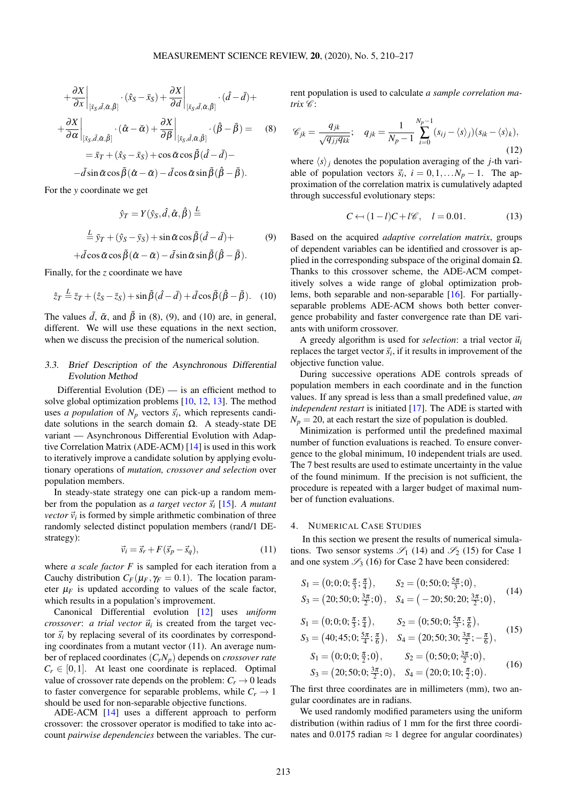<span id="page-3-1"></span>
$$
+\frac{\partial X}{\partial x}\Big|_{[\tilde{x}_{S},\tilde{d},\tilde{\alpha},\tilde{\beta}]} \cdot (\hat{x}_{S}-\bar{x}_{S}) + \frac{\partial X}{\partial d}\Big|_{[\tilde{x}_{S},\tilde{d},\tilde{\alpha},\tilde{\beta}]} \cdot (\hat{d}-\bar{d}) ++ \frac{\partial X}{\partial \alpha}\Big|_{[\tilde{x}_{S},\tilde{d},\tilde{\alpha},\tilde{\beta}]} \cdot (\hat{\alpha}-\bar{\alpha}) + \frac{\partial X}{\partial \beta}\Big|_{[\tilde{x}_{S},\tilde{d},\tilde{\alpha},\tilde{\beta}]} \cdot (\hat{\beta}-\bar{\beta}) = (8) = \bar{x}_{T} + (\hat{x}_{S}-\bar{x}_{S}) + \cos \tilde{\alpha} \cos \tilde{\beta} (\hat{d}-\bar{d}) --\tilde{d} \sin \tilde{\alpha} \cos \tilde{\beta} (\hat{\alpha}-\bar{\alpha}) - \tilde{d} \cos \tilde{\alpha} \sin \tilde{\beta} (\hat{\beta}-\bar{\beta}).
$$

For the *y* coordinate we get

<span id="page-3-2"></span>
$$
\hat{y}_T = Y(\hat{y}_S, \hat{d}, \hat{\alpha}, \hat{\beta}) \stackrel{L}{=} \n\stackrel{L}{=} \bar{y}_T + (\hat{y}_S - \bar{y}_S) + \sin \tilde{\alpha} \cos \tilde{\beta} (\hat{d} - \bar{d}) + \n+ \tilde{d} \cos \tilde{\alpha} \cos \tilde{\beta} (\hat{\alpha} - \bar{\alpha}) - \tilde{d} \sin \tilde{\alpha} \sin \tilde{\beta} (\hat{\beta} - \bar{\beta}).
$$
\n(9)

Finally, for the *z* coordinate we have

<span id="page-3-3"></span>
$$
\hat{z}_T \stackrel{L}{=} \bar{z}_T + (\hat{z}_S - \bar{z}_S) + \sin \tilde{\beta} (\hat{d} - \bar{d}) + \tilde{d} \cos \tilde{\beta} (\hat{\beta} - \bar{\beta}). \quad (10)
$$

The values  $\tilde{d}$ ,  $\tilde{\alpha}$ , and  $\tilde{\beta}$  in [\(8\)](#page-3-1), [\(9\)](#page-3-2), and [\(10\)](#page-3-3) are, in general, different. We will use these equations in the next section, when we discuss the precision of the numerical solution.

# <span id="page-3-0"></span>3.3. Brief Description of the Asynchronous Differential Evolution Method

Differential Evolution  $(DE)$  — is an efficient method to solve global optimization problems [\[10,](#page-7-5) [12,](#page-7-7) [13\]](#page-7-8). The method uses *a population* of  $N_p$  vectors  $\vec{s}_i$ , which represents candidate solutions in the search domain Ω. A steady-state DE variant — Asynchronous Differential Evolution with Adaptive Correlation Matrix (ADE-ACM) [\[14\]](#page-7-9) is used in this work to iteratively improve a candidate solution by applying evolutionary operations of *mutation, crossover and selection* over population members.

In steady-state strategy one can pick-up a random member from the population as *a target vector*  $\vec{s}_i$  [\[15\]](#page-7-10). *A mutant vector*  $\vec{v}_i$  is formed by simple arithmetic combination of three randomly selected distinct population members (rand/1 DEstrategy):

<span id="page-3-4"></span>
$$
\vec{v}_i = \vec{s}_r + F(\vec{s}_p - \vec{s}_q),\tag{11}
$$

where *a scale factor F* is sampled for each iteration from a Cauchy distribution  $C_F(\mu_F, \gamma_F = 0.1)$ . The location parameter  $\mu_F$  is updated according to values of the scale factor, which results in a population's improvement.

Canonical Differential evolution [\[12\]](#page-7-7) uses *uniform*  $\frac{c \cos \omega}{c}$  *a trial vector*  $\vec{u}_i$  is created from the target vector  $\vec{s}_i$  by replacing several of its coordinates by corresponding coordinates from a mutant vector [\(11\)](#page-3-4). An average number of replaced coordinates (*CrNp*) depends on *crossover rate*  $C_r \in [0,1]$ . At least one coordinate is replaced. Optimal value of crossover rate depends on the problem:  $C_r \rightarrow 0$  leads to faster convergence for separable problems, while  $C_r \rightarrow 1$ should be used for non-separable objective functions.

ADE-ACM [\[14\]](#page-7-9) uses a different approach to perform crossover: the crossover operator is modified to take into account *pairwise dependencies* between the variables. The current population is used to calculate *a sample correlation ma* $trix \mathscr{C}$ :

$$
\mathscr{C}_{jk} = \frac{q_{jk}}{\sqrt{q_{jj}q_{kk}}}; \quad q_{jk} = \frac{1}{N_p - 1} \sum_{i=0}^{N_p - 1} (s_{ij} - \langle s \rangle_j)(s_{ik} - \langle s \rangle_k),
$$
\n(12)

where  $\langle s \rangle_i$  denotes the population averaging of the *j*-th variable of population vectors  $\vec{s}_i$ ,  $i = 0, 1, \ldots N_p - 1$ . The approximation of the correlation matrix is cumulatively adapted through successful evolutionary steps:

<span id="page-3-8"></span>
$$
C \leftarrow (1 - l)C + l\mathscr{C}, \quad l = 0.01. \tag{13}
$$

Based on the acquired *adaptive correlation matrix*, groups of dependent variables can be identified and crossover is applied in the corresponding subspace of the original domain  $\Omega$ . Thanks to this crossover scheme, the ADE-ACM competitively solves a wide range of global optimization problems, both separable and non-separable [\[16\]](#page-7-11). For partiallyseparable problems ADE-ACM shows both better convergence probability and faster convergence rate than DE variants with uniform crossover.

A greedy algorithm is used for *selection*: a trial vector  $\vec{u}_i$ replaces the target vector  $\vec{s}_i$ , if it results in improvement of the objective function value.

During successive operations ADE controls spreads of population members in each coordinate and in the function values. If any spread is less than a small predefined value, *an independent restart* is initiated [\[17\]](#page-7-12). The ADE is started with  $N_p = 20$ , at each restart the size of population is doubled.

Minimization is performed until the predefined maximal number of function evaluations is reached. To ensure convergence to the global minimum, 10 independent trials are used. The 7 best results are used to estimate uncertainty in the value of the found minimum. If the precision is not sufficient, the procedure is repeated with a larger budget of maximal number of function evaluations.

## 4. NUMERICAL CASE STUDIES

In this section we present the results of numerical simulations. Two sensor systems  $\mathscr{S}_1$  [\(14\)](#page-3-5) and  $\mathscr{S}_2$  [\(15\)](#page-3-6) for Case 1 and one system  $\mathscr{S}_3$  [\(16\)](#page-3-7) for Case 2 have been considered:

<span id="page-3-5"></span>
$$
S_1 = (0; 0; 0; \frac{\pi}{3}; \frac{\pi}{4}), \qquad S_2 = (0; 50; 0; \frac{5\pi}{3}; 0),S_3 = (20; 50; 0; \frac{3\pi}{2}; 0), \qquad S_4 = (-20; 50; 20; \frac{3\pi}{2}; 0),
$$
(14)

<span id="page-3-6"></span>
$$
S_1 = (0; 0; 0; \frac{\pi}{3}; \frac{\pi}{4}), \qquad S_2 = (0; 50; 0; \frac{5\pi}{3}; \frac{\pi}{6}),
$$
  
\n
$$
S_3 = (40; 45; 0; \frac{5\pi}{4}; \frac{\pi}{6}), \quad S_4 = (20; 50; 30; \frac{3\pi}{2}; -\frac{\pi}{6}),
$$
 (15)

<span id="page-3-7"></span>
$$
S_1 = (0; 0; 0; \frac{\pi}{2}; 0), \qquad S_2 = (0; 50; 0; \frac{3\pi}{2}; 0), S_3 = (20; 50; 0; \frac{3\pi}{2}; 0), \qquad S_4 = (20; 0; 10; \frac{\pi}{2}; 0).
$$
 (16)

The first three coordinates are in millimeters (mm), two angular coordinates are in radians.

We used randomly modified parameters using the uniform distribution (within radius of 1 mm for the first three coordinates and 0.0175 radian  $\approx$  1 degree for angular coordinates)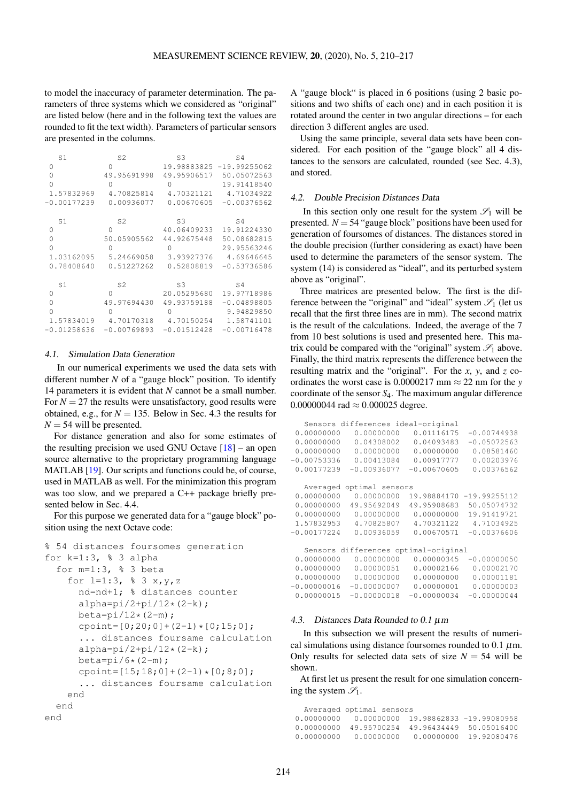to model the inaccuracy of parameter determination. The parameters of three systems which we considered as "original" are listed below (here and in the following text the values are rounded to fit the text width). Parameters of particular sensors are presented in the columns.

| S1            | S <sub>2</sub> | S3             | S4             |
|---------------|----------------|----------------|----------------|
| 0             | 0              | 19.98883825    | $-19.99255062$ |
| $\Omega$      | 49.95691998    | 49.95906517    | 50.05072563    |
| $\Omega$      | O              |                | 19.91418540    |
| 1.57832969    | 4.70825814     | 4.70321121     | 4.71034922     |
| $-0.00177239$ | 0.00936077     | 0.00670605     | $-0.00376562$  |
| S1            | S <sub>2</sub> | S <sub>3</sub> | S4             |
| 0             | 0              | 40.06409233    | 19.91224330    |
| $\Omega$      | 50.05905562    | 44.92675448    | 50.08682815    |
| $\Omega$      | Ω              |                | 29.95563246    |
| 1.03162095    | 5.24669058     | 3.93927376     | 4.69646645     |
| 0.78408640    | 0.51227262     | 0.52808819     | $-0.53736586$  |
| S1            | S <sub>2</sub> | S3             | S4             |
| 0             | O              | 20.05295680    | 19.97718986    |
| $\Omega$      | 49.97694430    | 49.93759188    | $-0.04898805$  |
| $\Omega$      |                |                | 9.94829850     |
| 1.57834019    | 4.70170318     | 4.70150254     | 1.58741101     |
| $-0.01258636$ | $-0.00769893$  | $-0.01512428$  | $-0.00716478$  |

#### 4.1. Simulation Data Generation

In our numerical experiments we used the data sets with different number *N* of a "gauge block" position. To identify 14 parameters it is evident that *N* cannot be a small number. For  $N = 27$  the results were unsatisfactory, good results were obtained, e.g., for  $N = 135$ . Below in Sec. [4.3](#page-4-0) the results for  $N = 54$  will be presented.

For distance generation and also for some estimates of the resulting precision we used GNU Octave  $[18]$  – an open source alternative to the proprietary programming language MATLAB [\[19\]](#page-7-14). Our scripts and functions could be, of course, used in MATLAB as well. For the minimization this program was too slow, and we prepared a C++ package briefly presented below in Sec. [4.4.](#page-6-4)

For this purpose we generated data for a "gauge block" position using the next Octave code:

```
% 54 distances foursomes generation
for k=1:3, 8 3 alpha
 for m=1:3, % 3 beta
   for l=1:3, \frac{1}{6} 3 x, y, z
      nd=nd+1; % distances counter
      alpha=pi/2+pi/12*(2-k);beta=pi/12*(2-m);cpoint=[0;20;0]+(2-1)*(0;15;0];... distances foursame calculation
      alpha=pi/2+pi/12*(2-k);beta=pi/6*(2-m);
      cpoint=[15;18;0]+(2-1)*(0;8;0];... distances foursame calculation
   end
 end
end
```
A "gauge block" is placed in 6 positions (using 2 basic positions and two shifts of each one) and in each position it is rotated around the center in two angular directions – for each direction 3 different angles are used.

Using the same principle, several data sets have been considered. For each position of the "gauge block" all 4 distances to the sensors are calculated, rounded (see Sec. [4.3\)](#page-4-0), and stored.

### 4.2. Double Precision Distances Data

In this section only one result for the system  $\mathscr{S}_1$  will be presented.  $N = 54$  "gauge block" positions have been used for generation of foursomes of distances. The distances stored in the double precision (further considering as exact) have been used to determine the parameters of the sensor system. The system [\(14\)](#page-3-5) is considered as "ideal", and its perturbed system above as "original".

Three matrices are presented below. The first is the difference between the "original" and "ideal" system  $\mathcal{S}_1$  (let us recall that the first three lines are in mm). The second matrix is the result of the calculations. Indeed, the average of the 7 from 10 best solutions is used and presented here. This matrix could be compared with the "original" system  $\mathcal{S}_1$  above. Finally, the third matrix represents the difference between the resulting matrix and the "original". For the *x*, *y*, and *z* coordinates the worst case is  $0.0000217$  mm  $\approx 22$  nm for the *y* coordinate of the sensor *S*4. The maximum angular difference 0.000000044 rad  $\approx 0.000025$  degree.

|               | Sensors differences ideal-original   |               |                |
|---------------|--------------------------------------|---------------|----------------|
| 0.00000000    | 0.00000000                           | 0.01116175    | $-0.00744938$  |
| 0.00000000    | 0.04308002                           | 0.04093483    | $-0.05072563$  |
| 0.00000000    | 0.00000000                           | 0.00000000    | 0.08581460     |
| $-0.00753336$ | 0.00413084                           | 0.00917777    | 0.00203976     |
| 0.00177239    | $-0.00936077$                        | $-0.00670605$ | 0.00376562     |
|               |                                      |               |                |
| Averaged      | optimal sensors                      |               |                |
| 0.00000000    | 0.00000000                           | 19.98884170   | $-19.99255112$ |
| 0.00000000    | 49.95692049                          | 49.95908683   | 50.05074732    |
| 0.00000000    | 0.00000000                           | 0.00000000    | 19.91419721    |
| 1.57832953    | 4.70825807                           | 4.70321122    | 4.71034925     |
| $-0.00177224$ | 0.00936059                           | 0.00670571    | $-0.00376606$  |
|               |                                      |               |                |
|               | Sensors differences optimal-original |               |                |
| 0.00000000    | 0.00000000                           | 0.00000345    | $-0.00000050$  |
| 0.00000000    | 0.00000051                           | 0.00002166    | 0.00002170     |
| 0.00000000    | 0.00000000                           | 0.00000000    | 0.00001181     |
| $-0.00000016$ | $-0.00000007$                        | 0.00000001    | 0.00000003     |
| 0.00000015    | $-0.00000018$                        | $-0.00000034$ | $-0.00000044$  |

## <span id="page-4-0"></span>4.3. Distances Data Rounded to 0.1 µm

In this subsection we will present the results of numerical simulations using distance foursomes rounded to 0.1  $\mu$ m. Only results for selected data sets of size  $N = 54$  will be shown.

At first let us present the result for one simulation concerning the system  $\mathcal{S}_1$ .

Averaged optimal sensors 0.00000000 0.00000000 19.98862833 -19.99080958 0.00000000 49.95700254 49.96434449 50.05016400 0.00000000 0.00000000 0.00000000 19.92080476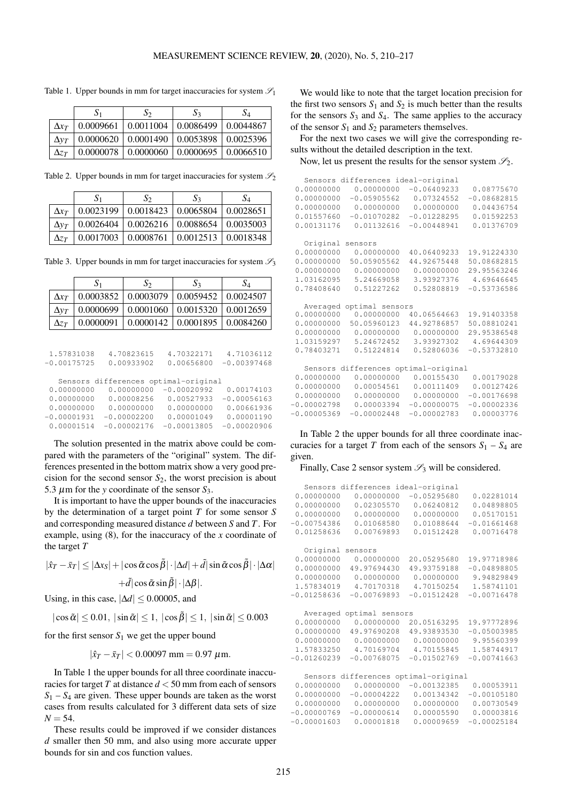|              | $S_1$     | $S_2$                                                 | S٦ | $S_4$ |
|--------------|-----------|-------------------------------------------------------|----|-------|
| $\Delta x_T$ | 0.0009661 | $\mid 0.0011004 \mid 0.0086499 \mid 0.0044867$        |    |       |
| $\Delta v_T$ |           | $0.0000620$   $0.0001490$   $0.0053898$   $0.0025396$ |    |       |
| $\Delta z$   | 0.0000078 | $\mid 0.0000060 \mid 0.0000695 \mid 0.0066510$        |    |       |

<span id="page-5-0"></span>Table 1. Upper bounds in mm for target inaccuracies for system  $\mathscr{S}_1$ 

Table 2. Upper bounds in mm for target inaccuracies for system  $\mathcal{S}_2$ 

|              | $S_1$                                                             | SΣ                                                    | $S_3$ | $S_4$ |
|--------------|-------------------------------------------------------------------|-------------------------------------------------------|-------|-------|
| $\Delta x_T$ |                                                                   | $0.0023199$   $0.0018423$   $0.0065804$   $0.0028651$ |       |       |
| $\Delta v_T$ | $\vert 0.0026404 \vert 0.0026216 \vert 0.0088654 \vert 0.0035003$ |                                                       |       |       |
| $\Delta z$   |                                                                   | $0.0017003$   $0.0008761$   $0.0012513$   $0.0018348$ |       |       |

Table 3. Upper bounds in mm for target inaccuracies for system  $\mathfrak{S}_3$ 

|              | $\mathbf{S}_1$ | SΣ                    | $S_3$                             | $S_4$ |
|--------------|----------------|-----------------------|-----------------------------------|-------|
| $\Delta x_T$ | 0.0003852      | $\mid 0.0003079$      | $0.0059452 \pm 0.0024507$         |       |
| $\Delta v_T$ | 0.0000699      | 0.0001060             | 0.0015320   0.0012659             |       |
| $\Delta z_T$ | 0.0000091      | $\mid 0.0000142 \mid$ | $\vert 0.0001895 \vert 0.0084260$ |       |

| 1.57831038    | 4.70823615                           | 4.70322171    | 4.71036112    |
|---------------|--------------------------------------|---------------|---------------|
| $-0.00175725$ | 0.00933902                           | 0.00656800    | $-0.00397468$ |
|               | Sensors differences optimal-original |               |               |
| 0.00000000    | 0.00000000                           | $-0.00020992$ | 0.00174103    |
| 0.00000000    | 0.00008256                           | 0.00527933    | $-0.00056163$ |
| 0.00000000    | 0.00000000                           | 0.00000000    | 0.00661936    |
| $-0.00001931$ | $-0.00002200$                        | 0.00001049    | 0.00001190    |
| 0.00001514    | $-0.00002176$                        | $-0.00013805$ | $-0.00020906$ |

The solution presented in the matrix above could be compared with the parameters of the "original" system. The differences presented in the bottom matrix show a very good precision for the second sensor  $S_2$ , the worst precision is about 5.3  $\mu$ m for the *y* coordinate of the sensor  $S_3$ .

It is important to have the upper bounds of the inaccuracies by the determination of a target point *T* for some sensor *S* and corresponding measured distance *d* between *S* and *T*. For example, using [\(8\)](#page-3-1), for the inaccuracy of the *x* coordinate of the target *T*

$$
|\hat{x}_T - \bar{x}_T| \le |\Delta x_S| + |\cos \tilde{\alpha} \cos \tilde{\beta}| \cdot |\Delta d| + \tilde{d} |\sin \tilde{\alpha} \cos \tilde{\beta}| \cdot |\Delta \alpha|
$$

$$
+ \tilde{d} |\cos \tilde{\alpha} \sin \tilde{\beta}| \cdot |\Delta \beta|.
$$

Using, in this case,  $|\Delta d| \leq 0.00005$ , and

 $|\cos \tilde{\alpha}| \le 0.01, |\sin \tilde{\alpha}| \le 1, |\cos \tilde{\beta}| \le 1, |\sin \tilde{\alpha}| \le 0.003$ 

for the first sensor  $S_1$  we get the upper bound

$$
|\hat{x}_T - \bar{x}_T| < 0.00097 \text{ mm} = 0.97 \text{ }\mu\text{m}.
$$

In Table [1](#page-5-0) the upper bounds for all three coordinate inaccuracies for target *T* at distance *d* < 50 mm from each of sensors  $S_1 - S_4$  are given. These upper bounds are taken as the worst cases from results calculated for 3 different data sets of size  $N = 54$ .

These results could be improved if we consider distances *d* smaller then 50 mm, and also using more accurate upper bounds for sin and cos function values.

We would like to note that the target location precision for the first two sensors  $S_1$  and  $S_2$  is much better than the results for the sensors  $S_3$  and  $S_4$ . The same applies to the accuracy of the sensor  $S_1$  and  $S_2$  parameters themselves.

For the next two cases we will give the corresponding results without the detailed description in the text.

Now, let us present the results for the sensor system  $\mathcal{S}_2$ .

|               | Sensors differences ideal-original   |               |               |
|---------------|--------------------------------------|---------------|---------------|
| 0.00000000    | 0.00000000                           | $-0.06409233$ | 0.08775670    |
| 0.00000000    | $-0.05905562$                        | 0.07324552    | $-0.08682815$ |
| 0.00000000    | 0.00000000                           | 0.00000000    | 0.04436754    |
|               |                                      |               |               |
| 0.01557660    | $-0.01070282$                        | $-0.01228295$ | 0.01592253    |
| 0.00131176    | 0.01132616                           | $-0.00448941$ | 0.01376709    |
| Original      | sensors                              |               |               |
| 0.00000000    | 0.00000000                           | 40.06409233   | 19.91224330   |
| 0.00000000    | 50.05905562                          | 44.92675448   | 50.08682815   |
| 0.00000000    | 0.00000000                           | 0.00000000    | 29.95563246   |
| 1.03162095    | 5.24669058                           | 3.93927376    | 4.69646645    |
|               |                                      |               |               |
| 0.78408640    | 0.51227262                           | 0.52808819    | $-0.53736586$ |
| Averaged      | optimal sensors                      |               |               |
| 0.00000000    | 0.00000000                           | 40.06564663   | 19.91403358   |
| 0.00000000    | 50.05960123                          | 44.92786857   | 50.08810241   |
| 0.00000000    | 0.00000000                           | 0.00000000    | 29.95386548   |
| 1.03159297    | 5.24672452                           | 3.93927302    | 4.69644309    |
| 0.78403271    | 0.51224814                           | 0.52806036    | $-0.53732810$ |
|               |                                      |               |               |
|               | Sensors differences optimal-original |               |               |
| 0.00000000    | 0.00000000                           | 0.00155430    | 0.00179028    |
| 0.00000000    | 0.00054561                           | 0.00111409    | 0.00127426    |
| 0.00000000    | 0.00000000                           | 0.00000000    | $-0.00176698$ |
| $-0.00002798$ | 0.00003394                           | $-0.00000075$ | $-0.00002336$ |
| $-0.00005369$ | $-0.00002448$                        | $-0.00002783$ | 0.00003776    |
|               |                                      |               |               |

In Table [2](#page-5-0) the upper bounds for all three coordinate inaccuracies for a target *T* from each of the sensors  $S_1 - S_4$  are given.

Finally, Case 2 sensor system  $\mathcal{S}_3$  will be considered.

|               | Sensors differences ideal-original   |               |               |
|---------------|--------------------------------------|---------------|---------------|
| 0.00000000    | 0.00000000                           | $-0.05295680$ | 0.02281014    |
| 0.00000000    | 0.02305570                           | 0.06240812    | 0.04898805    |
| 0.00000000    | 0.00000000                           | 0.00000000    | 0.05170151    |
| $-0.00754386$ | 0.01068580                           | 0.01088644    | $-0.01661468$ |
| 0.01258636    | 0.00769893                           | 0.01512428    | 0.00716478    |
| Original      | sensors                              |               |               |
| 0.00000000    | 0.00000000                           | 20.05295680   | 19.97718986   |
| 0.00000000    | 49.97694430                          | 49.93759188   | $-0.04898805$ |
| 0.00000000    | 0.00000000                           | 0.00000000    | 9.94829849    |
| 1.57834019    | 4.70170318                           | 4.70150254    | 1.58741101    |
| $-0.01258636$ | $-0.00769893$                        | $-0.01512428$ | $-0.00716478$ |
| Averaged      | optimal sensors                      |               |               |
| 0.00000000    | 0.00000000                           | 20.05163295   | 19.97772896   |
| 0.00000000    | 49.97690208                          | 49.93893530   | $-0.05003985$ |
| 0.00000000    | 0.00000000                           | 0.00000000    | 9.95560399    |
| 1.57833250    | 4.70169704                           | 4.70155845    | 1.58744917    |
| $-0.01260239$ | $-0.00768075$                        | $-0.01502769$ | $-0.00741663$ |
|               | Sensors differences optimal-original |               |               |
| 0.00000000    | 0.00000000                           | $-0.00132385$ | 0.00053911    |
| 0.00000000    | $-0.00004222$                        | 0.00134342    | $-0.00105180$ |
| 0.00000000    | 0.00000000                           | 0.00000000    | 0.00730549    |
| $-0.00000769$ | $-0.00000614$                        | 0.00005590    | 0.00003816    |
| $-0.00001603$ | 0.00001818                           | 0.00009659    | $-0.00025184$ |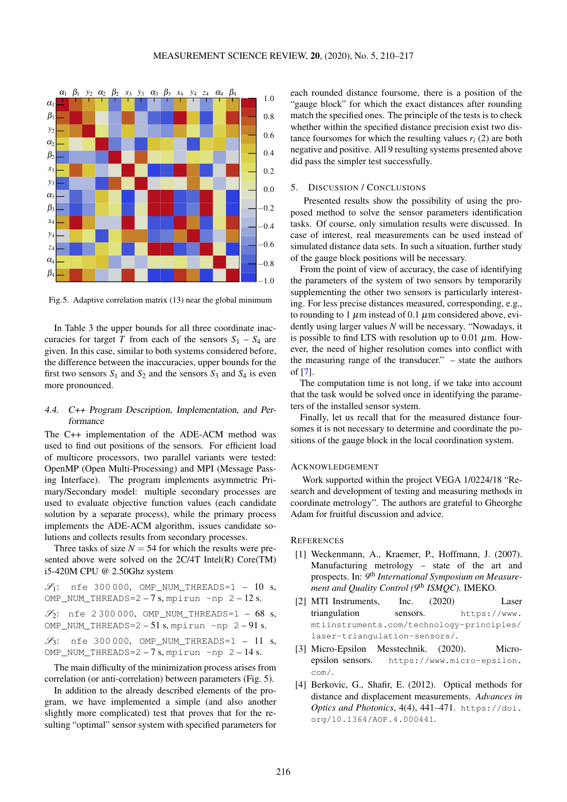<span id="page-6-5"></span>

Fig.5. Adaptive correlation matrix [\(13\)](#page-3-8) near the global minimum

In Table [3](#page-5-0) the upper bounds for all three coordinate inaccuracies for target *T* from each of the sensors  $S_1 - S_4$  are given. In this case, similar to both systems considered before, the difference between the inaccuracies, upper bounds for the first two sensors  $S_1$  and  $S_2$  and the sensors  $S_3$  and  $S_4$  is even more pronounced.

# <span id="page-6-4"></span>4.4. C++ Program Description, Implementation, and Performance

The C++ implementation of the ADE-ACM method was used to find out positions of the sensors. For efficient load of multicore processors, two parallel variants were tested: OpenMP (Open Multi-Processing) and MPI (Message Passing Interface). The program implements asymmetric Primary/Secondary model: multiple secondary processes are used to evaluate objective function values (each candidate solution by a separate process), while the primary process implements the ADE-ACM algorithm, issues candidate solutions and collects results from secondary processes.

Three tasks of size  $N = 54$  for which the results were presented above were solved on the 2C/4T Intel(R) Core(TM) i5-420M CPU @ 2.50Ghz system

 $\mathscr{S}_1$ : nfe 300000, OMP\_NUM\_THREADS=1 - 10 s, OMP\_NUM\_THREADS= $2 - 7$  s, mpirun -np  $2 - 12$  s.

 $\mathscr{S}_2$ : nfe 2 300 000, OMP\_NUM\_THREADS=1 – 68 s, OMP\_NUM\_THREADS= $2 - 51$  s, mpirun  $-$ np  $2 - 91$  s.

 $\mathscr{S}_3$ : nfe 300000, OMP\_NUM\_THREADS=1 - 11 s, OMP\_NUM\_THREADS=2 - 7 s, mpirun -np 2 - 14 s.

The main difficulty of the minimization process arises from correlation (or anti-correlation) between parameters (Fig. [5\)](#page-6-5).

In addition to the already described elements of the program, we have implemented a simple (and also another slightly more complicated) test that proves that for the resulting "optimal" sensor system with specified parameters for each rounded distance foursome, there is a position of the "gauge block" for which the exact distances after rounding match the specified ones. The principle of the tests is to check whether within the specified distance precision exist two distance foursomes for which the resulting values  $r_i$  (2) are both negative and positive. All 9 resulting systems presented above did pass the simpler test successfully.

## 5. DISCUSSION / CONCLUSIONS

Presented results show the possibility of using the proposed method to solve the sensor parameters identification tasks. Of course, only simulation results were discussed. In case of interest, real measurements can be used instead of simulated distance data sets. In such a situation, further study of the gauge block positions will be necessary.

From the point of view of accuracy, the case of identifying the parameters of the system of two sensors by temporarily supplementing the other two sensors is particularly interesting. For less precise distances measured, corresponding, e.g., to rounding to 1  $\mu$ m instead of 0.1  $\mu$ m considered above, evidently using larger values *N* will be necessary. "Nowadays, it is possible to find LTS with resolution up to 0.01  $\mu$ m. However, the need of higher resolution comes into conflict with the measuring range of the transducer." – state the authors of [\[7\]](#page-7-2).

The computation time is not long, if we take into account that the task would be solved once in identifying the parameters of the installed sensor system.

Finally, let us recall that for the measured distance foursomes it is not necessary to determine and coordinate the positions of the gauge block in the local coordination system.

#### ACKNOWLEDGEMENT

Work supported within the project VEGA 1/0224/18 "Research and development of testing and measuring methods in coordinate metrology". The authors are grateful to Gheorghe Adam for fruitful discussion and advice.

## **REFERENCES**

- <span id="page-6-0"></span>[1] Weckenmann, A., Kraemer, P., Hoffmann, J. (2007). Manufacturing metrology – state of the art and prospects. In: *9* th *International Symposium on Measurement and Quality Control (9*th *ISMQC).* IMEKO.
- <span id="page-6-1"></span>[2] MTI Instruments, Inc. (2020) Laser triangulation sensors. [https://www.](https://www.mtiinstruments.com/technology-principles/laser-triangulation-sensors/) [mtiinstruments.com/technology-principles/](https://www.mtiinstruments.com/technology-principles/laser-triangulation-sensors/) [laser-triangulation-sensors/](https://www.mtiinstruments.com/technology-principles/laser-triangulation-sensors/).
- <span id="page-6-2"></span>[3] Micro-Epsilon Messtechnik. (2020). Microepsilon sensors. [https://www.micro-epsilon.](https://www.micro-epsilon.com/) [com/](https://www.micro-epsilon.com/).
- <span id="page-6-3"></span>[4] Berkovic, G., Shafir, E. (2012). Optical methods for distance and displacement measurements. *Advances in Optics and Photonics*, 4(4), 441–471. [https://doi.](https://doi.org/10.1364/AOP.4.000441) [org/10.1364/AOP.4.000441](https://doi.org/10.1364/AOP.4.000441).